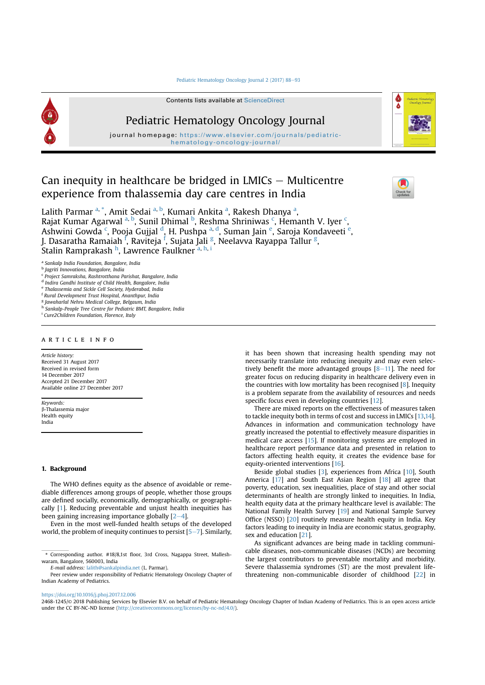#### [Pediatric Hematology Oncology Journal 2 \(2017\) 88](https://doi.org/10.1016/j.phoj.2017.12.006)-[93](https://doi.org/10.1016/j.phoj.2017.12.006)



# Can inequity in healthcare be bridged in LMICs  $-$  Multicentre experience from thalassemia day care centres in India



۵

Lalith Parmar <sup>a, \*</sup>, Amit Sedai <sup>a, b</sup>, Kumari Ankita <sup>a</sup>, Rakesh Dhanya <sup>a</sup>, Rajat Kumar Agarwal <sup>a, b</sup>, Sunil Dhimal <sup>b</sup>, Reshma Shriniwas <sup>c</sup>, Hemanth V. Iyer <sup>c</sup>, Ashwini Gowda <sup>c</sup>, Pooja Gujjal <sup>d</sup>, H. Pushpa <sup>a, d</sup>, Suman Jain <sup>e</sup>, Saroja Kondaveeti <sup>e</sup>, J. Dasaratha Ramaiah <sup>f</sup>, Raviteja <sup>f</sup>, Sujata Jali <sup>g</sup>, Neelavva Rayappa Tallur <sup>g</sup>, Stalin Ramprakash <sup>h</sup>, Lawrence Faulkner <sup>a, h, i</sup>

<sup>a</sup> Sankalp India Foundation, Bangalore, India

- <sup>d</sup> Indira Gandhi Institute of Child Health, Bangalore, India
- <sup>e</sup> Thalassemia and Sickle Cell Society, Hyderabad, India
- <sup>f</sup> Rural Development Trust Hospital, Ananthpur, India
- <sup>g</sup> Jawaharlal Nehru Medical College, Belgaum, India
- h Sankalp-People Tree Centre for Pediatric BMT, Bangalore, India

<sup>i</sup> Cure2Children Foundation, Florence, Italy

# article info

Article history: Received 31 August 2017 Received in revised form 14 December 2017 Accepted 21 December 2017 Available online 27 December 2017

Keywords: b-Thalassemia major .<br>Health equity India

## 1. Background

The WHO defines equity as the absence of avoidable or remediable differences among groups of people, whether those groups are defined socially, economically, demographically, or geographically [1]. Reducing preventable and unjust health inequities has been gaining increasing importance globally  $[2-4]$ .

Even in the most well-funded health setups of the developed world, the problem of inequity continues to persist  $[5-7]$ . Similarly, it has been shown that increasing health spending may not necessarily translate into reducing inequity and may even selectively benefit the more advantaged groups  $[8-11]$ . The need for greater focus on reducing disparity in healthcare delivery even in the countries with low mortality has been recognised [8]. Inequity is a problem separate from the availability of resources and needs specific focus even in developing countries [12].

There are mixed reports on the effectiveness of measures taken to tackle inequity both in terms of cost and success in LMICs [13,14]. Advances in information and communication technology have greatly increased the potential to effectively measure disparities in medical care access [15]. If monitoring systems are employed in healthcare report performance data and presented in relation to factors affecting health equity, it creates the evidence base for equity-oriented interventions [16].

Beside global studies [3], experiences from Africa [10], South America [17] and South East Asian Region [18] all agree that poverty, education, sex inequalities, place of stay and other social determinants of health are strongly linked to inequities. In India, health equity data at the primary healthcare level is available: The National Family Health Survey <a>[19]</a> and National Sample Survey Office (NSSO) [20] routinely measure health equity in India. Key factors leading to inequity in India are economic status, geography, sex and education [21].

As significant advances are being made in tackling communicable diseases, non-communicable diseases (NCDs) are becoming the largest contributors to preventable mortality and morbidity. Severe thalassemia syndromes (ST) are the most prevalent lifethreatening non-communicable disorder of childhood [22] in

<https://doi.org/10.1016/j.phoj.2017.12.006>

**b** Jagriti Innovations, Bangalore, India

<sup>c</sup> Project Samraksha, Rashtrotthana Parishat, Bangalore, India

<sup>\*</sup> Corresponding author. #18/8,1st floor, 3rd Cross, Nagappa Street, Malleshwaram, Bangalore, 560003, India

E-mail address: [lalith@sankalpindia.net](mailto:lalith@sankalpindia.net) (L. Parmar).

Peer review under responsibility of Pediatric Hematology Oncology Chapter of Indian Academy of Pediatrics.

<sup>2468-1245/</sup>© 2018 Publishing Services by Elsevier B.V. on behalf of Pediatric Hematology Oncology Chapter of Indian Academy of Pediatrics. This is an open access article under the CC BY-NC-ND license (<http://creativecommons.org/licenses/by-nc-nd/4.0/>).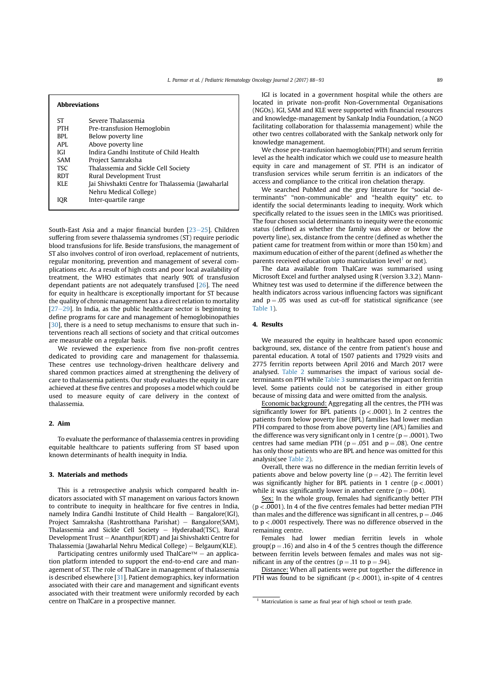| <b>Abbreviations</b> |                                                   |  |  |  |  |
|----------------------|---------------------------------------------------|--|--|--|--|
| <b>ST</b>            | Severe Thalassemia                                |  |  |  |  |
| <b>PTH</b>           | Pre-transfusion Hemoglobin                        |  |  |  |  |
| BPI.                 | Below poverty line                                |  |  |  |  |
| API.                 | Above poverty line                                |  |  |  |  |
| IGI                  | Indira Gandhi Institute of Child Health           |  |  |  |  |
| <b>SAM</b>           | Project Samraksha                                 |  |  |  |  |
| <b>TSC</b>           | Thalassemia and Sickle Cell Society               |  |  |  |  |
| <b>RDT</b>           | Rural Development Trust                           |  |  |  |  |
| KLE.                 | Jai Shivshakti Centre for Thalassemia (Jawaharlal |  |  |  |  |
|                      | Nehru Medical College)                            |  |  |  |  |
| IOR                  | Inter-quartile range                              |  |  |  |  |
|                      |                                                   |  |  |  |  |

South-East Asia and a major financial burden  $[23-25]$ . Children suffering from severe thalassemia syndromes (ST) require periodic blood transfusions for life. Beside transfusions, the management of ST also involves control of iron overload, replacement of nutrients, regular monitoring, prevention and management of several complications etc. As a result of high costs and poor local availability of treatment, the WHO estimates that nearly 90% of transfusion dependant patients are not adequately transfused [26]. The need for equity in healthcare is exceptionally important for ST because the quality of chronic management has a direct relation to mortality  $[27-29]$ . In India, as the public healthcare sector is beginning to define programs for care and management of hemoglobinopathies [30], there is a need to setup mechanisms to ensure that such interventions reach all sections of society and that critical outcomes are measurable on a regular basis.

We reviewed the experience from five non-profit centres dedicated to providing care and management for thalassemia. These centres use technology-driven healthcare delivery and shared common practices aimed at strengthening the delivery of care to thalassemia patients. Our study evaluates the equity in care achieved at these five centres and proposes a model which could be used to measure equity of care delivery in the context of thalassemia.

# 2. Aim

To evaluate the performance of thalassemia centres in providing equitable healthcare to patients suffering from ST based upon known determinants of health inequity in India.

# 3. Materials and methods

This is a retrospective analysis which compared health indicators associated with ST management on various factors known to contribute to inequity in healthcare for five centres in India, namely Indira Gandhi Institute of Child Health  $-$  Bangalore(IGI), Project Samraksha (Rashtrotthana Parishat) - Bangalore(SAM), Thalassemia and Sickle Cell Society  $-$  Hyderabad(TSC), Rural Development Trust - Ananthpur(RDT) and Jai Shivshakti Centre for Thalassemia (Jawaharlal Nehru Medical College) - Belgaum(KLE).

Participating centres uniformly used ThalCare<sup>TM</sup> – an application platform intended to support the end-to-end care and management of ST. The role of ThalCare in management of thalassemia is described elsewhere [31]. Patient demographics, key information associated with their care and management and significant events associated with their treatment were uniformly recorded by each centre on ThalCare in a prospective manner.

IGI is located in a government hospital while the others are located in private non-profit Non-Governmental Organisations (NGOs). IGI, SAM and KLE were supported with financial resources and knowledge-management by Sankalp India Foundation, (a NGO facilitating collaboration for thalassemia management) while the other two centres collaborated with the Sankalp network only for knowledge management.

We chose pre-transfusion haemoglobin(PTH) and serum ferritin level as the health indicator which we could use to measure health equity in care and management of ST. PTH is an indicator of transfusion services while serum ferritin is an indicators of the access and compliance to the critical iron chelation therapy.

We searched PubMed and the grey literature for "social determinants" "non-communicable" and "health equity" etc. to identify the social determinants leading to inequity. Work which specifically related to the issues seen in the LMICs was prioritised. The four chosen social determinants to inequity were the economic status (defined as whether the family was above or below the poverty line), sex, distance from the centre (defined as whether the patient came for treatment from within or more than 150 km) and maximum education of either of the parent (defined as whether the parents received education upto matriculation level $<sup>1</sup>$  or not).</sup>

The data available from ThalCare was summarised using Microsoft Excel and further analysed using R (version 3.3.2). Mann-Whitney test was used to determine if the difference between the health indicators across various influencing factors was significant and  $p = .05$  was used as cut-off for statistical significance (see Table 1).

# 4. Results

We measured the equity in healthcare based upon economic background, sex, distance of the centre from patient's house and parental education. A total of 1507 patients and 17929 visits and 2775 ferritin reports between April 2016 and March 2017 were analysed. Table 2 summarises the impact of various social determinants on PTH while Table 3 summarises the impact on ferritin level. Some patients could not be categorised in either group because of missing data and were omitted from the analysis.

Economic background: Aggregating all the centres, the PTH was significantly lower for BPL patients ( $p < .0001$ ). In 2 centres the patients from below poverty line (BPL) families had lower median PTH compared to those from above poverty line (APL) families and the difference was very significant only in 1 centre ( $p = .0001$ ). Two centres had same median PTH ( $p = .051$  and  $p = .08$ ). One centre has only those patients who are BPL and hence was omitted for this analysis(see Table 2).

Overall, there was no difference in the median ferritin levels of patients above and below poverty line ( $p = .42$ ). The ferritin level was significantly higher for BPL patients in 1 centre  $(p < .0001)$ while it was significantly lower in another centre ( $p = .004$ ).

Sex: In the whole group, females had significantly better PTH  $(p < .0001)$ . In 4 of the five centres females had better median PTH than males and the difference was significant in all centres,  $p = .046$ to p < .0001 respectively. There was no difference observed in the remaining centre.

Females had lower median ferritin levels in whole group( $p = .16$ ) and also in 4 of the 5 centres though the difference between ferritin levels between females and males was not significant in any of the centres ( $p = .11$  to  $p = .94$ ).

Distance: When all patients were put together the difference in PTH was found to be significant ( $p < .0001$ ), in-spite of 4 centres

 $\frac{1}{1}$  Matriculation is same as final year of high school or tenth grade.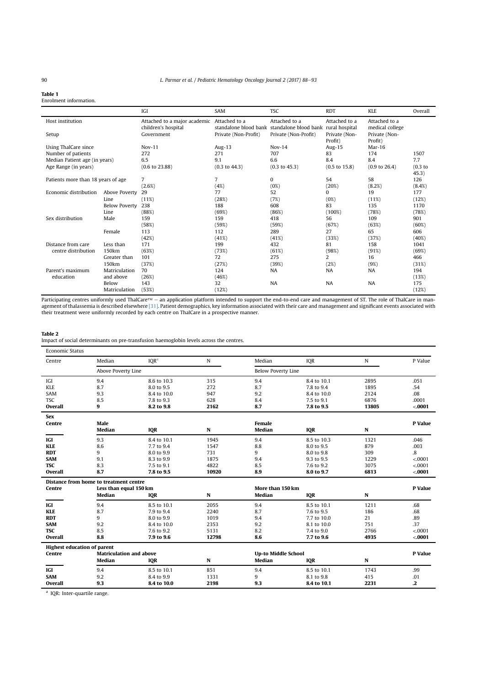## Table 1

# Enrolment information.

|                                    |                      | <b>IGI</b>                   | SAM                      | <b>TSC</b>                                                 | <b>RDT</b>               | <b>KLE</b>               | Overall    |
|------------------------------------|----------------------|------------------------------|--------------------------|------------------------------------------------------------|--------------------------|--------------------------|------------|
| Host institution                   |                      | Attached to a major academic | Attached to a            | Attached to a                                              | Attached to a            | Attached to a            |            |
|                                    |                      | children's hospital          |                          | standalone blood bank standalone blood bank rural hospital |                          | medical college          |            |
| Setup                              |                      | Government                   | Private (Non-Profit)     | Private (Non-Profit)                                       | Private (Non-<br>Profit) | Private (Non-<br>Profit) |            |
| Using ThalCare since               |                      | $Nov-11$                     | Aug- $13$                | $Nov-14$                                                   | Aug-15                   | Mar-16                   |            |
| Number of patients                 |                      | 272                          | 271                      | 707                                                        | 83                       | 174                      | 1507       |
| Median Patient age (in years)      |                      | 6.5                          | 9.1                      | 6.6                                                        | 8.4                      | 8.4                      | 7.7        |
| Age Range (in years)               |                      | $(0.6 \text{ to } 23.88)$    | $(0.3 \text{ to } 44.3)$ | $(0.3 \text{ to } 45.3)$                                   | $(0.5 \text{ to } 15.8)$ | $(0.9 \text{ to } 26.4)$ | $(0.3)$ to |
|                                    |                      |                              |                          |                                                            |                          |                          | 45.3)      |
| Patients more than 18 years of age |                      | 7                            | 7                        | $\Omega$                                                   | 54                       | 58                       | 126        |
|                                    |                      | (2.6%)                       | (4%)                     | (0%)                                                       | (20%)                    | (8.2%)                   | $(8.4\%)$  |
| Economic distribution              | <b>Above Poverty</b> | 29                           | 77                       | 52                                                         | 0                        | 19                       | 177        |
|                                    | Line                 | (11%)                        | (28%)                    | (7%)                                                       | (0%)                     | (11%)                    | (12%)      |
|                                    | <b>Below Poverty</b> | 238                          | 188                      | 608                                                        | 83                       | 135                      | 1170       |
|                                    | Line                 | (88%)                        | (69%)                    | (86%)                                                      | $(100\%)$                | (78%)                    | (78%)      |
| Sex distribution                   | Male                 | 159                          | 159                      | 418                                                        | 56                       | 109                      | 901        |
|                                    |                      | (58%)                        | (59%)                    | (59%)                                                      | (67%)                    | (63%)                    | (60%)      |
|                                    | Female               | 113                          | 112                      | 289                                                        | 27                       | 65                       | 606        |
|                                    |                      | (42%)                        | (41%)                    | (41%)                                                      | (33%)                    | (37%)                    | (40%)      |
| Distance from care                 | Less than            | 171                          | 199                      | 432                                                        | 81                       | 158                      | 1041       |
| centre distribution                | 150km                | (63%)                        | (73%)                    | (61%)                                                      | (98%)                    | (91%)                    | (69%)      |
|                                    | Greater than         | 101                          | 72                       | 275                                                        | $\overline{2}$           | 16                       | 466        |
|                                    | 150km                | (37%)                        | (27%)                    | (39%)                                                      | (2%)                     | (9%)                     | (31%)      |
| Parent's maximum                   | Matriculation        | 70                           | 124                      | <b>NA</b>                                                  | <b>NA</b>                | <b>NA</b>                | 194        |
| education                          | and above            | (26%)                        | (46%)                    |                                                            |                          |                          | (13%)      |
|                                    | Below                | 143                          | 32                       | <b>NA</b>                                                  | <b>NA</b>                | <b>NA</b>                | 175        |
|                                    | Matriculation        | (53%)                        | (12%)                    |                                                            |                          |                          | (12%)      |

Participating centres uniformly used ThalCare™ — an application platform intended to support the end-to-end care and management of ST. The role of ThalCare in man-<br>agement of thalassemia is described elsewhere [31]. Patie

# Table 2

 $\overline{\phantom{a}}$ 

Impact of social determinants on pre-transfusion haemoglobin levels across the centres.

| Centre         | Median                                 | IQR <sup>a</sup> | N     | Median                     | IOR         | N     | P Value |
|----------------|----------------------------------------|------------------|-------|----------------------------|-------------|-------|---------|
|                | Above Poverty Line                     |                  |       | <b>Below Poverty Line</b>  |             |       |         |
| IGI            | 9.4                                    | 8.6 to 10.3      | 315   | 9.4                        | 8.4 to 10.1 | 2895  | .051    |
| <b>KLE</b>     | 8.7                                    | 8.0 to 9.5       | 272   | 8.7                        | 7.8 to 9.4  | 1895  | .54     |
| SAM            | 9.3                                    | 8.4 to 10.0      | 947   | 9.2                        | 8.4 to 10.0 | 2124  | .08     |
| <b>TSC</b>     | 8.5                                    | 7.8 to 9.3       | 628   | 8.4                        | 7.5 to 9.1  | 6876  | .0001   |
| <b>Overall</b> | 9                                      | 8.2 to 9.8       | 2162  | 8.7                        | 7.8 to 9.5  | 13805 | < .0001 |
| <b>Sex</b>     |                                        |                  |       |                            |             |       |         |
| Centre         | Male<br>Median                         |                  |       | Female<br>Median           |             |       | P Value |
|                |                                        | <b>IOR</b>       | N     |                            | <b>IOR</b>  | N     |         |
| <b>IGI</b>     | 9.3                                    | 8.4 to 10.1      | 1945  | 9.4                        | 8.5 to 10.3 | 1321  | .046    |
| <b>KLE</b>     | 8.6                                    | 7.7 to 9.4       | 1547  | 8.8                        | 8.0 to 9.5  | 879   | .003    |
| <b>RDT</b>     | 9                                      | 8.0 to 9.9       | 731   | 9                          | 8.0 to 9.8  | 309   | 8.      |
| <b>SAM</b>     | 9.1                                    | 8.3 to 9.9       | 1875  | 9.4                        | 9.3 to 9.5  | 1229  | < .0001 |
| <b>TSC</b>     | 8.3                                    | 7.5 to 9.1       | 4822  | 8.5                        | 7.6 to 9.2  | 3075  | < .0001 |
| <b>Overall</b> | 8.7                                    | 7.8 to 9.5       | 10920 | 8.9                        | 8.0 to 9.7  | 6813  | < .0001 |
|                | Distance from home to treatment centre |                  |       |                            |             |       |         |
| Centre         | Less than equal 150 km                 |                  |       | More than 150 km           |             |       | P Value |
|                | Median                                 | <b>IOR</b>       | N     | Median                     | <b>IQR</b>  | N     |         |
| <b>IGI</b>     | 9.4                                    | 8.5 to 10.1      | 2055  | 9.4                        | 8.5 to 10.1 | 1211  | .68     |
| <b>KLE</b>     | 8.7                                    | 7.9 to 9.4       | 2240  | 8.7                        | 7.6 to 9.5  | 186   | .68     |
| <b>RDT</b>     | 9                                      | 8.0 to 9.9       | 1019  | 9.4                        | 7.7 to 10.0 | 21    | .89     |
| <b>SAM</b>     | 9.2                                    | 8.4 to 10.0      | 2353  | 9.2                        | 8.1 to 10.0 | 751   | .37     |
| <b>TSC</b>     | 8.5                                    | 7.6 to 9.2       | 5131  | 8.2                        | 7.4 to 9.0  | 2766  | < .0001 |
| <b>Overall</b> | 8.8                                    | 7.9 to 9.6       | 12798 | 8.6                        | 7.7 to 9.6  | 4935  | < .0001 |
|                | <b>Highest education of parent</b>     |                  |       |                            |             |       |         |
| Centre         | <b>Matriculation and above</b>         |                  |       | <b>Up-to Middle School</b> |             |       | P Value |
|                | Median                                 | <b>IQR</b>       | N     | Median                     | <b>IQR</b>  | N     |         |
| <b>IGI</b>     | 9.4                                    | 8.5 to 10.1      | 851   | 9.4                        | 8.5 to 10.1 | 1743  | .99     |
| <b>SAM</b>     | 9.2                                    | 8.4 to 9.9       | 1331  | 9                          | 8.1 to 9.8  | 415   | .01     |
| Overall        | 9.3                                    | 8.4 to 10.0      | 2198  | 9.3                        | 8.4 to 10.1 | 2231  | .2      |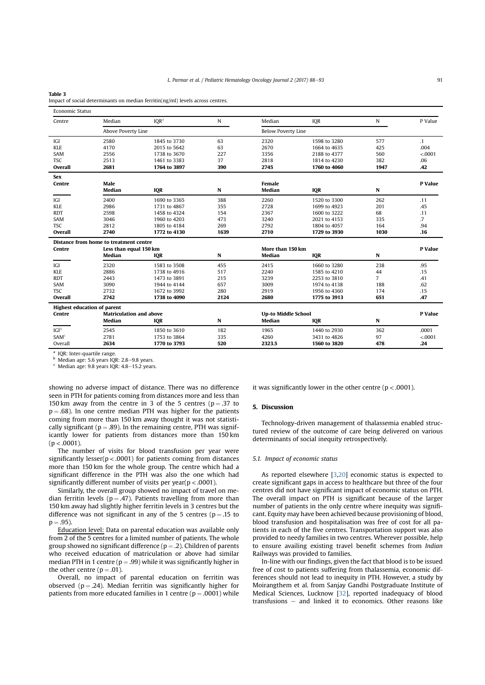## Table 3

| Impact of social determinants on median ferritin(ng/ml) levels across centres. |  |
|--------------------------------------------------------------------------------|--|
|--------------------------------------------------------------------------------|--|

| Median<br>IQR <sup>a</sup><br>Centre<br>N<br>Median<br><b>IOR</b><br>N              | P Value   |
|-------------------------------------------------------------------------------------|-----------|
|                                                                                     |           |
| Above Poverty Line<br><b>Below Poverty Line</b>                                     |           |
| 2580<br>1845 to 3730<br>63<br>2320<br>1598 to 3280<br>577<br>IGI                    | $\cdot$ 1 |
| <b>KLE</b><br>4170<br>63<br>2670<br>2015 to 5642<br>1664 to 4635<br>425             | .004      |
| 2556<br>1738 to 3670<br>227<br>3356<br>2188 to 4377<br>560<br>SAM                   | < .0001   |
| <b>TSC</b><br>37<br>2513<br>1461 to 3383<br>2818<br>1814 to 4230<br>382             | .06       |
| Overall<br>2681<br>2745<br>1764 to 3897<br>390<br>1760 to 4060<br>1947              | .42       |
| <b>Sex</b>                                                                          |           |
| Male<br><b>Female</b><br>Centre                                                     | P Value   |
| Median<br><b>IQR</b><br>N<br>Median<br><b>IOR</b><br>N                              |           |
| <b>IGI</b><br>2400<br>1690 to 3365<br>388<br>2260<br>1520 to 3300<br>262            | .11       |
| <b>KLE</b><br>2986<br>355<br>2728<br>201<br>1731 to 4867<br>1699 to 4923            | .45       |
| <b>RDT</b><br>2598<br>2367<br>68<br>1458 to 4324<br>154<br>1600 to 3222             | .11       |
| 3240<br>SAM<br>3046<br>1960 to 4203<br>473<br>2021 to 4153<br>335                   | .7        |
| <b>TSC</b><br>2812<br>269<br>2792<br>164<br>1805 to 4184<br>1804 to 4057            | .94       |
| Overall<br>1639<br>2710<br>1729 to 3930<br>1030<br>2740<br>1772 to 4130             | .16       |
| Distance from home to treatment centre                                              |           |
| More than 150 km<br>Centre<br>Less than equal 150 km                                | P Value   |
| Median<br>Median<br>N<br><b>IOR</b><br>N<br><b>IOR</b>                              |           |
| 2320<br>IGI<br>1583 to 3508<br>455<br>2415<br>1660 to 3280<br>238                   | .95       |
| 2886<br><b>KLE</b><br>1738 to 4916<br>517<br>2240<br>1585 to 4210<br>44             | .15       |
| <b>RDT</b><br>3239<br>$\overline{7}$<br>2443<br>1473 to 3891<br>215<br>2253 to 3810 | .41       |
| SAM<br>3090<br>657<br>3009<br>1944 to 4144<br>1974 to 4138<br>188                   | .62       |
| <b>TSC</b><br>2732<br>1672 to 3992<br>280<br>2919<br>1956 to 4360<br>174            | .15       |
| Overall<br>2742<br>1738 to 4090<br>2124<br>2680<br>1775 to 3913<br>651              | .47       |
| <b>Highest education of parent</b>                                                  |           |
| <b>Matriculation and above</b><br>Centre<br><b>Up-to Middle School</b>              | P Value   |
| Median<br>N<br>Median<br>N<br><b>IQR</b><br>IQR                                     |           |
| IGI <sub>p</sub><br>362<br>2545<br>1850 to 3610<br>182<br>1965<br>1440 to 2930      | .0001     |
| SAM <sup>c</sup><br>2781<br>335<br>4260<br>97<br>1753 to 3864<br>3431 to 4826       | < .0001   |
| 2634<br>1770 to 3793<br>520<br>2323.5<br>1560 to 3820<br>478<br>Overall             | .24       |

<sup>a</sup> IQR: Inter-quartile range.

 $<sup>b</sup>$  Median age: 5.6 years IQR: 2.8–9.8 years.</sup>

 $c$  Median age: 9.8 years IQR: 4.8-15.2 years.

showing no adverse impact of distance. There was no difference seen in PTH for patients coming from distances more and less than 150 km away from the centre in 3 of the 5 centres ( $p = .37$  to  $p = .68$ ). In one centre median PTH was higher for the patients coming from more than 150 km away thought it was not statistically significant ( $p = .89$ ). In the remaining centre, PTH was significantly lower for patients from distances more than 150 km  $(p < .0001)$ .

The number of visits for blood transfusion per year were significantly lesser( $p < .0001$ ) for patients coming from distances more than 150 km for the whole group. The centre which had a significant difference in the PTH was also the one which had significantly different number of visits per year( $p < .0001$ ).

Similarly, the overall group showed no impact of travel on median ferritin levels ( $p = .47$ ). Patients travelling from more than 150 km away had slightly higher ferritin levels in 3 centres but the difference was not significant in any of the 5 centres ( $p = .15$  to  $p = .95$ ).

Education level: Data on parental education was available only from 2 of the 5 centres for a limited number of patients. The whole group showed no significant difference ( $p = .2$ ). Children of parents who received education of matriculation or above had similar median PTH in 1 centre ( $p = .99$ ) while it was significantly higher in the other centre  $(p = .01)$ .

Overall, no impact of parental education on ferritin was observed ( $p = .24$ ). Median ferritin was significantly higher for patients from more educated families in 1 centre ( $p = .0001$ ) while it was significantly lower in the other centre ( $p < .0001$ ).

#### 5. Discussion

Technology-driven management of thalassemia enabled structured review of the outcome of care being delivered on various determinants of social inequity retrospectively.

#### 5.1. Impact of economic status

As reported elsewhere [3,20] economic status is expected to create significant gaps in access to healthcare but three of the four centres did not have significant impact of economic status on PTH. The overall impact on PTH is significant because of the larger number of patients in the only centre where inequity was significant. Equity may have been achieved because provisioning of blood, blood transfusion and hospitalisation was free of cost for all patients in each of the five centres. Transportation support was also provided to needy families in two centres. Wherever possible, help to ensure availing existing travel benefit schemes from Indian Railways was provided to families.

In-line with our findings, given the fact that blood is to be issued free of cost to patients suffering from thalassemia, economic differences should not lead to inequity in PTH. However, a study by Moirangthem et al. from Sanjay Gandhi Postgraduate Institute of Medical Sciences, Lucknow [32], reported inadequacy of blood  $transfusions - and linked it to economics. Other reasons like$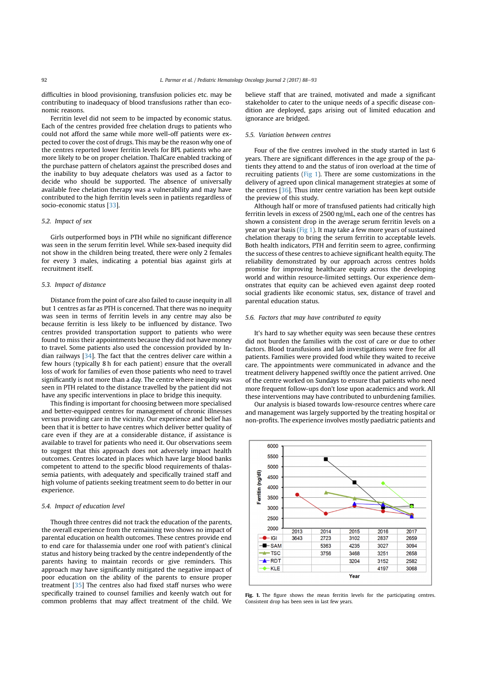difficulties in blood provisioning, transfusion policies etc. may be contributing to inadequacy of blood transfusions rather than economic reasons.

Ferritin level did not seem to be impacted by economic status. Each of the centres provided free chelation drugs to patients who could not afford the same while more well-off patients were expected to cover the cost of drugs. This may be the reason why one of the centres reported lower ferritin levels for BPL patients who are more likely to be on proper chelation. ThalCare enabled tracking of the purchase pattern of chelators against the prescribed doses and the inability to buy adequate chelators was used as a factor to decide who should be supported. The absence of universally available free chelation therapy was a vulnerability and may have contributed to the high ferritin levels seen in patients regardless of socio-economic status [33].

## 5.2. Impact of sex

Girls outperformed boys in PTH while no significant difference was seen in the serum ferritin level. While sex-based inequity did not show in the children being treated, there were only 2 females for every 3 males, indicating a potential bias against girls at recruitment itself.

#### 5.3. Impact of distance

Distance from the point of care also failed to cause inequity in all but 1 centres as far as PTH is concerned. That there was no inequity was seen in terms of ferritin levels in any centre may also be because ferritin is less likely to be influenced by distance. Two centres provided transportation support to patients who were found to miss their appointments because they did not have money to travel. Some patients also used the concession provided by Indian railways [34]. The fact that the centres deliver care within a few hours (typically 8 h for each patient) ensure that the overall loss of work for families of even those patients who need to travel significantly is not more than a day. The centre where inequity was seen in PTH related to the distance travelled by the patient did not have any specific interventions in place to bridge this inequity.

This finding is important for choosing between more specialised and better-equipped centres for management of chronic illnesses versus providing care in the vicinity. Our experience and belief has been that it is better to have centres which deliver better quality of care even if they are at a considerable distance, if assistance is available to travel for patients who need it. Our observations seem to suggest that this approach does not adversely impact health outcomes. Centres located in places which have large blood banks competent to attend to the specific blood requirements of thalassemia patients, with adequately and specifically trained staff and high volume of patients seeking treatment seem to do better in our experience.

#### 5.4. Impact of education level

Though three centres did not track the education of the parents, the overall experience from the remaining two shows no impact of parental education on health outcomes. These centres provide end to end care for thalassemia under one roof with patient's clinical status and history being tracked by the centre independently of the parents having to maintain records or give reminders. This approach may have significantly mitigated the negative impact of poor education on the ability of the parents to ensure proper treatment [35] The centres also had fixed staff nurses who were specifically trained to counsel families and keenly watch out for common problems that may affect treatment of the child. We believe staff that are trained, motivated and made a significant stakeholder to cater to the unique needs of a specific disease condition are deployed, gaps arising out of limited education and ignorance are bridged.

### 5.5. Variation between centres

Four of the five centres involved in the study started in last 6 years. There are significant differences in the age group of the patients they attend to and the status of iron overload at the time of recruiting patients (Fig 1). There are some customizations in the delivery of agreed upon clinical management strategies at some of the centres [36]. Thus inter centre variation has been kept outside the preview of this study.

Although half or more of transfused patients had critically high ferritin levels in excess of 2500 ng/mL, each one of the centres has shown a consistent drop in the average serum ferritin levels on a year on year basis (Fig 1). It may take a few more years of sustained chelation therapy to bring the serum ferritin to acceptable levels. Both health indicators, PTH and ferritin seem to agree, confirming the success of these centres to achieve significant health equity. The reliability demonstrated by our approach across centres holds promise for improving healthcare equity across the developing world and within resource-limited settings. Our experience demonstrates that equity can be achieved even against deep rooted social gradients like economic status, sex, distance of travel and parental education status.

#### 5.6. Factors that may have contributed to equity

It's hard to say whether equity was seen because these centres did not burden the families with the cost of care or due to other factors. Blood transfusions and lab investigations were free for all patients. Families were provided food while they waited to receive care. The appointments were communicated in advance and the treatment delivery happened swiftly once the patient arrived. One of the centre worked on Sundays to ensure that patients who need more frequent follow-ups don't lose upon academics and work. All these interventions may have contributed to unburdening families.

Our analysis is biased towards low-resource centres where care and management was largely supported by the treating hospital or non-profits. The experience involves mostly paediatric patients and



Fig. 1. The figure shows the mean ferritin levels for the participating centres. Consistent drop has been seen in last few years.